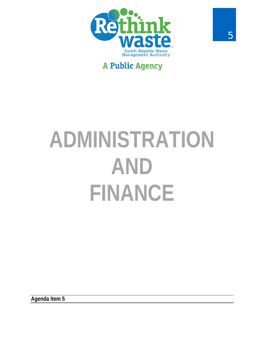

# **A Public Agency**

# **ADMINISTRATION AND FINANCE**

**Agenda Item 5**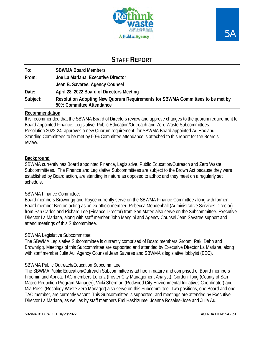

## **STAFF REPORT**

| To:      | <b>SBWMA Board Members</b>                                                                                |
|----------|-----------------------------------------------------------------------------------------------------------|
| From:    | Joe La Mariana, Executive Director                                                                        |
|          | Jean B. Savaree, Agency Counsel                                                                           |
| Date:    | April 28, 2022 Board of Directors Meeting                                                                 |
| Subject: | Resolution Adopting New Quorum Requirements for SBWMA Committees to be met by<br>50% Committee Attendance |

#### **Recommendation**

It is recommended that the SBWMA Board of Directors review and approve changes to the quorum requirement for Board appointed Finance, Legislative, Public Education/Outreach and Zero Waste Subcommittees. Resolution 2022-24 approves a new Quorum requirement for SBWMA Board appointed Ad Hoc and Standing Committees to be met by 50% Committee attendance is attached to this report for the Board's review.

#### **Background**

SBWMA currently has Board appointed Finance, Legislative, Public Education/Outreach and Zero Waste Subcommittees. The Finance and Legislative Subcommittees are subject to the Brown Act because they were established by Board action, are standing in nature as opposed to adhoc and they meet on a regularly set schedule.

#### SBWMA Finance Committee:

Board members Brownrigg and Royce currently serve on the SBWMA Finance Committee along with former Board member Benton acting as an ex-officio member. Rebecca Mendenhall (Administrative Services Director) from San Carlos and Richard Lee (Finance Director) from San Mateo also serve on the Subcommittee. Executive Director La Mariana, along with staff member John Mangini and Agency Counsel Jean Savaree support and attend meetings of this Subcommittee.

#### SBWMA Legislative Subcommittee:

The SBWMA Legislative Subcommittee is currently comprised of Board members Groom, Rak, Dehn and Brownrigg. Meetings of this Subcommittee are supported and attended by Executive Director La Mariana, along with staff member Julia Au, Agency Counsel Jean Savaree and SBWMA's legislative lobbyist (EEC).

#### SBWMA Public Outreach/Education Subcommittee:

The SBWMA Public Education/Outreach Subcommittee is ad hoc in nature and comprised of Board members Froomin and Abrica. TAC members Lorenz (Foster City Management Analyst), Gordon Tong (County of San Mateo Reduction Program Manager), Vicki Sherman (Redwood City Environmental Initiatives Coordinator) and Mia Rossi (Recology Waste Zero Manager) also serve on this Subcommittee. Two positions, one Board and one TAC member, are currently vacant. This Subcommittee is supported, and meetings are attended by Executive Director La Mariana, as well as by staff members Emi Hashizume, Joanna Rosales-Jose and Julia Au.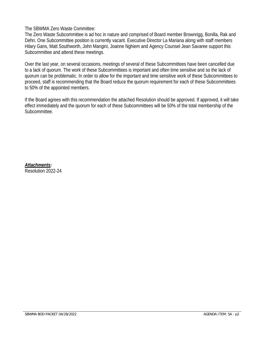The SBWMA Zero Waste Committee:

The Zero Waste Subcommittee is ad hoc in nature and comprised of Board member Brownrigg, Bonilla, Rak and Dehn. One Subcommittee position is currently vacant. Executive Director La Mariana along with staff members Hilary Gans, Matt Southworth, John Mangini, Joanne Nghiem and Agency Counsel Jean Savaree support this Subcommittee and attend these meetings.

Over the last year, on several occasions, meetings of several of these Subcommittees have been cancelled due to a lack of quorum. The work of these Subcommittees is important and often time sensitive and so the lack of quorum can be problematic. In order to allow for the important and time sensitive work of these Subcommittees to proceed, staff is recommending that the Board reduce the quorum requirement for each of these Subcommittees to 50% of the appointed members.

If the Board agrees with this recommendation the attached Resolution should be approved. If approved, it will take effect immediately and the quorum for each of these Subcommittees will be 50% of the total membership of the Subcommittee.

*Attachments:*  Resolution 2022-24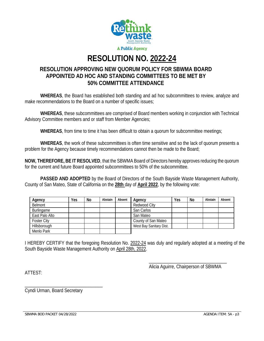

# **RESOLUTION NO. 2022-24**

#### **RESOLUTION APPROVING NEW QUORUM POLICY FOR SBWMA BOARD APPOINTED AD HOC AND STANDING COMMITTEES TO BE MET BY 50% COMMITTEE ATTENDANCE**

 **WHEREAS**, the Board has established both standing and ad hoc subcommittees to review, analyze and make recommendations to the Board on a number of specific issues;

**WHEREAS**, these subcommittees are comprised of Board members working in conjunction with Technical Advisory Committee members and or staff from Member Agencies;

**WHEREAS**, from time to time it has been difficult to obtain a quorum for subcommittee meetings;

**WHEREAS**, the work of these subcommittees is often time sensitive and so the lack of quorum presents a problem for the Agency because timely recommendations cannot then be made to the Board;

**NOW, THEREFORE, BE IT RESOLVED**, that the SBWMA Board of Directors hereby approves reducing the quorum for the current and future Board appointed subcommittees to 50% of the subcommittee.

**PASSED AND ADOPTED** by the Board of Directors of the South Bayside Waste Management Authority, County of San Mateo, State of California on the **28th** day of **April 2022**, by the following vote:

| Agency             | Yes | No | Abstain | Absent | Agency                  | Yes | No | Abstain | Absent |
|--------------------|-----|----|---------|--------|-------------------------|-----|----|---------|--------|
| Belmont            |     |    |         |        | Redwood City            |     |    |         |        |
| Burlingame         |     |    |         |        | San Carlos              |     |    |         |        |
| East Palo Alto     |     |    |         |        | San Mateo               |     |    |         |        |
| <b>Foster City</b> |     |    |         |        | County of San Mateo     |     |    |         |        |
| Hillsborough       |     |    |         |        | West Bay Sanitary Dist. |     |    |         |        |
| Menlo Park         |     |    |         |        |                         |     |    |         |        |

I HEREBY CERTIFY that the foregoing Resolution No. 2022-24 was duly and regularly adopted at a meeting of the South Bayside Waste Management Authority on April 28th, 2022.

 $\overline{\phantom{a}}$  , and the contract of the contract of the contract of the contract of the contract of the contract of the contract of the contract of the contract of the contract of the contract of the contract of the contrac Alicia Aguirre, Chairperson of SBWMA

ATTEST:

\_\_\_\_\_\_\_\_\_\_\_\_\_\_\_\_\_\_\_\_\_\_\_\_\_\_\_\_\_\_\_\_\_ Cyndi Urman, Board Secretary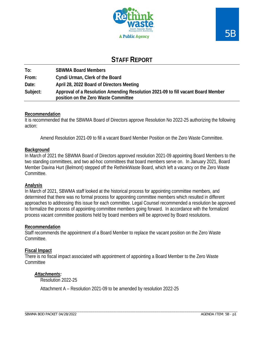

## **STAFF REPORT**

**To: SBWMA Board Members From: Cyndi Urman, Clerk of the Board Date: April 28, 2022 Board of Directors Meeting Subject: Approval of a Resolution Amending Resolution 2021-09 to fill vacant Board Member position on the Zero Waste Committee**

#### **Recommendation**

It is recommended that the SBWMA Board of Directors approve Resolution No 2022-25 authorizing the following action:

Amend Resolution 2021-09 to fill a vacant Board Member Position on the Zero Waste Committee.

#### **Background**

In March of 2021 the SBWMA Board of Directors approved resolution 2021-09 appointing Board Members to the two standing committees, and two ad-hoc committees that board members serve on. In January 2021, Board Member Davina Hurt (Belmont) stepped off the RethinkWaste Board, which left a vacancy on the Zero Waste Committee.

#### **Analysis**

In March of 2021, SBWMA staff looked at the historical process for appointing committee members, and determined that there was no formal process for appointing committee members which resulted in different approaches to addressing this issue for each committee. Legal Counsel recommended a resolution be approved to formalize the process of appointing committee members going forward. In accordance with the formalized process vacant committee positions held by board members will be approved by Board resolutions.

#### **Recommendation**

Staff recommends the appointment of a Board Member to replace the vacant position on the Zero Waste Committee.

#### **Fiscal Impact**

There is no fiscal impact associated with appointment of appointing a Board Member to the Zero Waste **Committee** 

#### *Attachments:*

Resolution 2022-25

Attachment A – Resolution 2021-09 to be amended by resolution 2022-25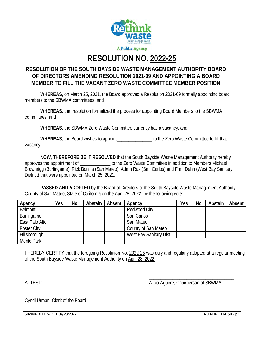

# **RESOLUTION NO. 2022-25**

#### **RESOLUTION OF THE SOUTH BAYSIDE WASTE MANAGEMENT AUTHORITY BOARD OF DIRECTORS AMENDING RESOLUTION 2021-09 AND APPOINTING A BOARD MEMBER TO FILL THE VACANT ZERO WASTE COMMITTEE MEMBER POSITION**

**WHEREAS**, on March 25, 2021, the Board approved a Resolution 2021-09 formally appointing board members to the SBWMA committees; and

**WHEREAS**, that resolution formalized the process for appointing Board Members to the SBWMA committees, and

**WHEREAS,** the SBWMA Zero Waste Committee currently has a vacancy, and

WHEREAS, the Board wishes to appoint the Verol Waste Committee to fill that vacancy.

**NOW, THEREFORE BE IT RESOLVED** that the South Bayside Waste Management Authority hereby approves the appointment of **Exercise 20** to the Zero Waste Committee in addition to Members Michael Brownrigg (Burlingame), Rick Bonilla (San Mateo), Adam Rak (San Carlos) and Fran Dehn (West Bay Sanitary District) that were appointed on March 25, 2021.

**PASSED AND ADOPTED** by the Board of Directors of the South Bayside Waste Management Authority, County of San Mateo, State of California on the April 28, 2022, by the following vote:

| Agency             | Yes | <b>No</b> | Abstain | Absent | Agency                 | Yes | No | Abstain | Absent |
|--------------------|-----|-----------|---------|--------|------------------------|-----|----|---------|--------|
| <b>Belmont</b>     |     |           |         |        | Redwood City           |     |    |         |        |
| Burlingame         |     |           |         |        | San Carlos             |     |    |         |        |
| East Palo Alto     |     |           |         |        | San Mateo              |     |    |         |        |
| <b>Foster City</b> |     |           |         |        | County of San Mateo    |     |    |         |        |
| Hillsborough       |     |           |         |        | West Bay Sanitary Dist |     |    |         |        |
| Menlo Park         |     |           |         |        |                        |     |    |         |        |

I HEREBY CERTIFY that the foregoing Resolution No. 2022-25 was duly and regularly adopted at a regular meeting of the South Bayside Waste Management Authority on April 28, 2022.

ATTEST: AND ALICIA Aguirre, Chairperson of SBWMA

\_\_\_\_\_\_\_\_\_\_\_\_\_\_\_\_\_\_\_\_\_\_\_\_\_\_\_\_\_\_\_\_\_\_\_\_

\_\_\_\_\_\_\_\_\_\_\_\_\_\_\_\_\_\_\_\_\_\_\_\_\_\_\_\_\_\_\_\_\_ Cyndi Urman, Clerk of the Board

SBWMA BOD PACKET 04/28/2022 AGENDA ITEM: 5B - p2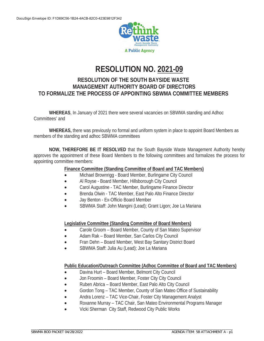

## **RESOLUTION NO. 2021-09**

#### **RESOLUTION OF THE SOUTH BAYSIDE WASTE MANAGEMENT AUTHORITY BOARD OF DIRECTORS TO FORMALIZE THE PROCESS OF APPOINTING SBWMA COMMITTEE MEMBERS**

**WHEREAS**, In January of 2021 there were several vacancies on SBWMA standing and Adhoc Committees' and

**WHEREAS,** there was previously no formal and uniform system in place to appoint Board Members as members of the standing and adhoc SBWMA committees

**NOW, THEREFORE BE IT RESOLVED** that the South Bayside Waste Management Authority hereby approves the appointment of these Board Members to the following committees and formalizes the process for appointing committee members:

#### **Finance Committee (Standing Committee of Board and TAC Members)**

- Michael Brownrigg Board Member, Burlingame City Council
- Al Royse Board Member, Hillsborough City Council
- Carol Augustine TAC Member, Burlingame Finance Director
- **•** Brenda Olwin TAC Member, East Palo Alto Finance Director
- Jay Benton Ex-Officio Board Member
- SBWMA Staff: John Mangini (Lead); Grant Ligon; Joe La Mariana

#### **Legislative Committee (Standing Committee of Board Members)**

- Carole Groom Board Member, County of San Mateo Supervisor
- Adam Rak Board Member, San Carlos City Council
- Fran Dehn Board Member, West Bay Sanitary District Board
- x SBWMA Staff: Julia Au (Lead); Joe La Mariana

#### **Public Education/Outreach Committee (Adhoc Committee of Board and TAC Members)**

- Davina Hurt Board Member, Belmont City Council
- Jon Froomin Board Member, Foster City City Council
- Ruben Abrica Board Member, East Palo Alto City Council
- Gordon Tong TAC Member, County of San Mateo Office of Sustainability
- x Andra Lorenz TAC Vice-Chair, Foster City Management Analyst
- Roxanne Murray TAC Chair, San Mateo Environmental Programs Manager
- Vicki Sherman City Staff, Redwood City Public Works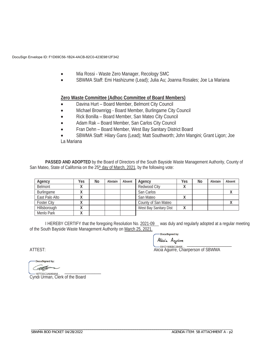DocuSign Envelope ID: F1D69C56-1B24-4ACB-82C0-423E9812F342

- x Mia Rossi Waste Zero Manager, Recology SMC
- x SBWMA Staff: Emi Hashizume (Lead); Julia Au; Joanna Rosales; Joe La Mariana

#### **Zero Waste Committee (Adhoc Committee of Board Members)**

- Davina Hurt Board Member, Belmont City Council
- x Michael Brownrigg Board Member, Burlingame City Council
- Rick Bonilla Board Member, San Mateo City Council
- x Adam Rak Board Member, San Carlos City Council
- Fran Dehn Board Member, West Bay Sanitary District Board
- SBWMA Staff: Hilary Gans (Lead); Matt Southworth; John Mangini; Grant Ligon; Joe La Mariana

**PASSED AND ADOPTED** by the Board of Directors of the South Bayside Waste Management Authority, County of San Mateo, State of California on the 25<sup>th</sup> day of March, 2021, by the following vote:

| Agency             | Yes       | No | Abstain | Absent | Agency                 | Yes | No | Abstain | Absent |
|--------------------|-----------|----|---------|--------|------------------------|-----|----|---------|--------|
| Belmont            | $\lambda$ |    |         |        | Redwood City           |     |    |         |        |
| Burlingame         | ↗         |    |         |        | San Carlos             |     |    |         |        |
| East Palo Alto     | ↗         |    |         |        | San Mateo              |     |    |         |        |
| <b>Foster City</b> |           |    |         |        | County of San Mateo    |     |    |         |        |
| Hillsborough       | 71        |    |         |        | West Bay Sanitary Dist |     |    |         |        |
| Menlo Park         | $\lambda$ |    |         |        |                        |     |    |         |        |

I HEREBY CERTIFY that the foregoing Resolution No. 2021-09 was duly and regularly adopted at a regular meeting of the South Bayside Waste Management Authority on March 25, 2021.

DocuSigned by:

 $\bigvee_{i=1}^{\infty}$ ATTEST: **ALICIA Aguirre, Chairperson of SBWMA** 

DocuSigned by: \_\_\_\_\_\_\_\_\_\_\_\_\_\_\_\_\_\_\_\_\_\_\_\_\_\_\_\_\_\_\_\_\_

Cyndi Urman, Clerk of the Board